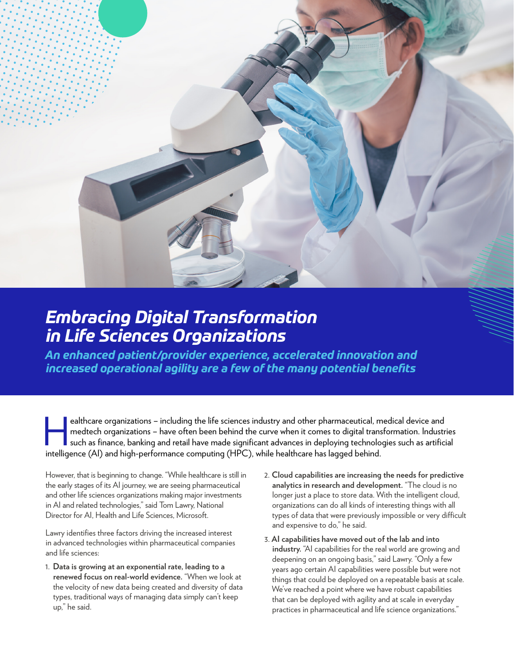

# *Embracing Digital Transformation in Life Sciences Organizations*

*An enhanced patient/provider experience, accelerated innovation and increased operational agility are a few of the many potential benefits*

ealthcare organizations – including the life sciences industry and other pharmaceutical, medical device and<br>medtech organizations – have often been behind the curve when it comes to digital transformation. Industr<br>such as medtech organizations – have often been behind the curve when it comes to digital transformation. Industries such as finance, banking and retail have made significant advances in deploying technologies such as artificial intelligence (AI) and high-performance computing (HPC), while healthcare has lagged behind.

However, that is beginning to change. "While healthcare is still in the early stages of its AI journey, we are seeing pharmaceutical and other life sciences organizations making major investments in AI and related technologies," said Tom Lawry, National Director for AI, Health and Life Sciences, Microsoft.

Lawry identifies three factors driving the increased interest in advanced technologies within pharmaceutical companies and life sciences:

- 1. **Data is growing at an exponential rate, leading to a renewed focus on real-world evidence.** "When we look at the velocity of new data being created and diversity of data types, traditional ways of managing data simply can't keep up," he said.
- 2. **Cloud capabilities are increasing the needs for predictive analytics in research and development.** "The cloud is no longer just a place to store data. With the intelligent cloud, organizations can do all kinds of interesting things with all types of data that were previously impossible or very difficult and expensive to do," he said.
- 3. **AI capabilities have moved out of the lab and into industry.** "AI capabilities for the real world are growing and deepening on an ongoing basis," said Lawry. "Only a few years ago certain AI capabilities were possible but were not things that could be deployed on a repeatable basis at scale. We've reached a point where we have robust capabilities that can be deployed with agility and at scale in everyday practices in pharmaceutical and life science organizations."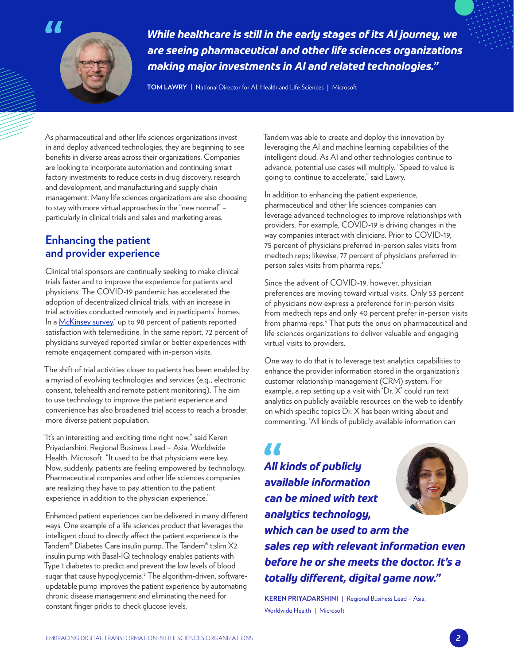

*While healthcare is still in the early stages of its AI journey, we are seeing pharmaceutical and other life sciences organizations making major investments in AI and related technologies."*

**TOM LAWRY |** National Director for AI, Health and Life Sciences | Microsoft

As pharmaceutical and other life sciences organizations invest in and deploy advanced technologies, they are beginning to see benefits in diverse areas across their organizations. Companies are looking to incorporate automation and continuing smart factory investments to reduce costs in drug discovery, research and development, and manufacturing and supply chain management. Many life sciences organizations are also choosing to stay with more virtual approaches in the "new normal" – particularly in clinical trials and sales and marketing areas.

## **Enhancing the patient and provider experience**

Clinical trial sponsors are continually seeking to make clinical trials faster and to improve the experience for patients and physicians. The COVID-19 pandemic has accelerated the adoption of decentralized clinical trials, with an increase in trial activities conducted remotely and in participants' homes. In a [McKinsey survey](https://www.mckinsey.com/industries/life-sciences/our-insights/no-place-like-home-stepping-up-the-decentralization-of-clinical-trials),<sup>1</sup> up to 98 percent of patients reported satisfaction with telemedicine. In the same report, 72 percent of physicians surveyed reported similar or better experiences with remote engagement compared with in-person visits.

The shift of trial activities closer to patients has been enabled by a myriad of evolving technologies and services (e.g., electronic consent, telehealth and remote patient monitoring). The aim to use technology to improve the patient experience and convenience has also broadened trial access to reach a broader, more diverse patient population.

"It's an interesting and exciting time right now," said Keren Priyadarshini, Regional Business Lead – Asia, Worldwide Health, Microsoft. "It used to be that physicians were key. Now, suddenly, patients are feeling empowered by technology. Pharmaceutical companies and other life sciences companies are realizing they have to pay attention to the patient experience in addition to the physician experience."

Enhanced patient experiences can be delivered in many different ways. One example of a life sciences product that leverages the intelligent cloud to directly affect the patient experience is the Tandem® Diabetes Care insulin pump. The Tandem® t:slim X2 insulin pump with Basal-IQ technology enables patients with Type 1 diabetes to predict and prevent the low levels of blood sugar that cause hypoglycemia.<sup>2</sup> The algorithm-driven, softwareupdatable pump improves the patient experience by automating chronic disease management and eliminating the need for constant finger pricks to check glucose levels.

Tandem was able to create and deploy this innovation by leveraging the AI and machine learning capabilities of the intelligent cloud. As AI and other technologies continue to advance, potential use cases will multiply. "Speed to value is going to continue to accelerate," said Lawry.

In addition to enhancing the patient experience, pharmaceutical and other life sciences companies can leverage advanced technologies to improve relationships with providers. For example, COVID-19 is driving changes in the way companies interact with clinicians. Prior to COVID-19, 75 percent of physicians preferred in-person sales visits from medtech reps; likewise, 77 percent of physicians preferred inperson sales visits from pharma reps.<sup>3</sup>

Since the advent of COVID-19, however, physician preferences are moving toward virtual visits. Only 53 percent of physicians now express a preference for in-person visits from medtech reps and only 40 percent prefer in-person visits from pharma reps.<sup>4</sup> That puts the onus on pharmaceutical and life sciences organizations to deliver valuable and engaging virtual visits to providers.

One way to do that is to leverage text analytics capabilities to enhance the provider information stored in the organization's customer relationship management (CRM) system. For example, a rep setting up a visit with 'Dr. X' could run text analytics on publicly available resources on the web to identify on which specific topics Dr. X has been writing about and commenting. "All kinds of publicly available information can

**AA** *All kinds of publicly available information can be mined with text analytics technology, which can be used to arm the sales rep with relevant information even before he or she meets the doctor. It's a totally different, digital game now."*

**KEREN PRIYADARSHINI** | Regional Business Lead – Asia, Worldwide Health | Microsoft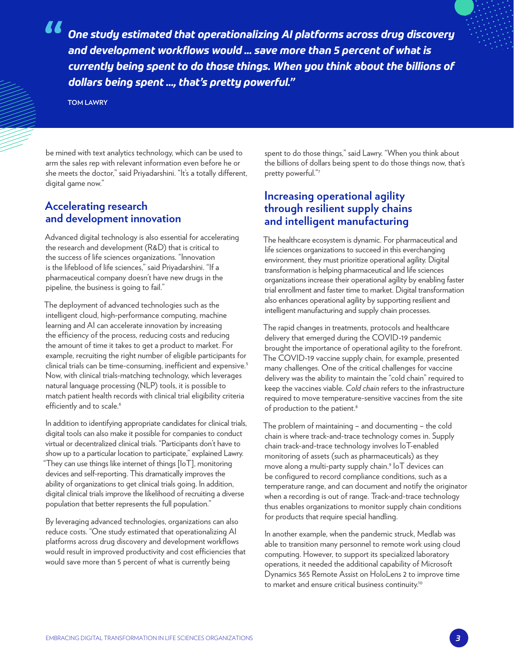*One study estimated that operationalizing AI platforms across drug discovery and development workflows would ... save more than 5 percent of what is currently being spent to do those things. When you think about the billions of dollars being spent ..., that's pretty powerful."*

**TOM LAWRY**

be mined with text analytics technology, which can be used to arm the sales rep with relevant information even before he or she meets the doctor," said Priyadarshini. "It's a totally different, digital game now."

## **Accelerating research and development innovation**

Advanced digital technology is also essential for accelerating the research and development (R&D) that is critical to the success of life sciences organizations. "Innovation is the lifeblood of life sciences," said Priyadarshini. "If a pharmaceutical company doesn't have new drugs in the pipeline, the business is going to fail."

The deployment of advanced technologies such as the intelligent cloud, high-performance computing, machine learning and AI can accelerate innovation by increasing the efficiency of the process, reducing costs and reducing the amount of time it takes to get a product to market. For example, recruiting the right number of eligible participants for clinical trials can be time-consuming, inefficient and expensive.<sup>5</sup> Now, with clinical trials-matching technology, which leverages natural language processing (NLP) tools, it is possible to match patient health records with clinical trial eligibility criteria efficiently and to scale.<sup>6</sup>

In addition to identifying appropriate candidates for clinical trials, digital tools can also make it possible for companies to conduct virtual or decentralized clinical trials. "Participants don't have to show up to a particular location to participate," explained Lawry. "They can use things like internet of things [IoT], monitoring devices and self-reporting. This dramatically improves the ability of organizations to get clinical trials going. In addition, digital clinical trials improve the likelihood of recruiting a diverse population that better represents the full population."

By leveraging advanced technologies, organizations can also reduce costs. "One study estimated that operationalizing AI platforms across drug discovery and development workflows would result in improved productivity and cost efficiencies that would save more than 5 percent of what is currently being

spent to do those things," said Lawry. "When you think about the billions of dollars being spent to do those things now, that's pretty powerful."7

## **Increasing operational agility through resilient supply chains and intelligent manufacturing**

The healthcare ecosystem is dynamic. For pharmaceutical and life sciences organizations to succeed in this everchanging environment, they must prioritize operational agility. Digital transformation is helping pharmaceutical and life sciences organizations increase their operational agility by enabling faster trial enrollment and faster time to market. Digital transformation also enhances operational agility by supporting resilient and intelligent manufacturing and supply chain processes.

The rapid changes in treatments, protocols and healthcare delivery that emerged during the COVID-19 pandemic brought the importance of operational agility to the forefront. The COVID-19 vaccine supply chain, for example, presented many challenges. One of the critical challenges for vaccine delivery was the ability to maintain the "cold chain" required to keep the vaccines viable. *Cold chain* refers to the infrastructure required to move temperature-sensitive vaccines from the site of production to the patient.<sup>8</sup>

The problem of maintaining – and documenting – the cold chain is where track-and-trace technology comes in. Supply chain track-and-trace technology involves IoT-enabled monitoring of assets (such as pharmaceuticals) as they move along a multi-party supply chain.9 IoT devices can be configured to record compliance conditions, such as a temperature range, and can document and notify the originator when a recording is out of range. Track-and-trace technology thus enables organizations to monitor supply chain conditions for products that require special handling.

In another example, when the pandemic struck, Medlab was able to transition many personnel to remote work using cloud computing. However, to support its specialized laboratory operations, it needed the additional capability of Microsoft Dynamics 365 Remote Assist on HoloLens 2 to improve time to market and ensure critical business continuity.<sup>10</sup>